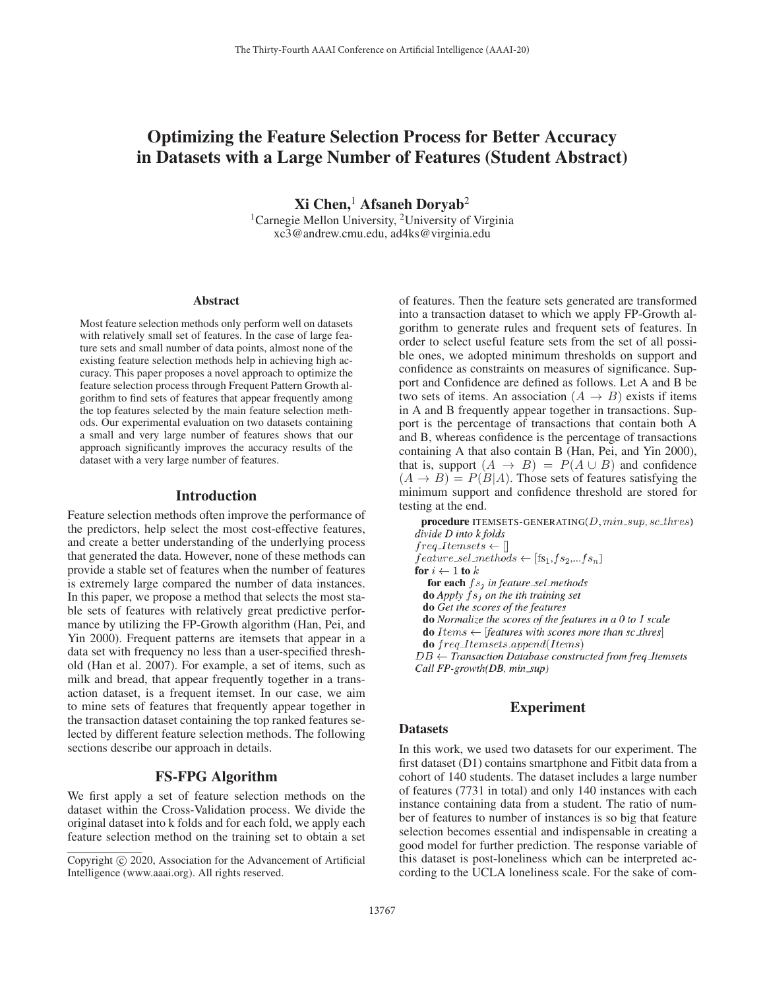# Optimizing the Feature Selection Process for Better Accuracy in Datasets with a Large Number of Features (Student Abstract)

 $Xi$  Chen,<sup>1</sup> Afsaneh Doryab<sup>2</sup> <sup>1</sup> Carnegie Mellon University, <sup>2</sup> University of Virginia xc3@andrew.cmu.edu, ad4ks@virginia.edu

#### Abstract

Most feature selection methods only perform well on datasets with relatively small set of features. In the case of large feature sets and small number of data points, almost none of the existing feature selection methods help in achieving high accuracy. This paper proposes a novel approach to optimize the feature selection process through Frequent Pattern Growth algorithm to find sets of features that appear frequently among the top features selected by the main feature selection methods. Our experimental evaluation on two datasets containing a small and very large number of features shows that our approach significantly improves the accuracy results of the dataset with a very large number of features.

#### Introduction

Feature selection methods often improve the performance of the predictors, help select the most cost-effective features, and create a better understanding of the underlying process that generated the data. However, none of these methods can provide a stable set of features when the number of features is extremely large compared the number of data instances. In this paper, we propose a method that selects the most stable sets of features with relatively great predictive performance by utilizing the FP-Growth algorithm (Han, Pei, and Yin 2000). Frequent patterns are itemsets that appear in a data set with frequency no less than a user-specified threshold (Han et al. 2007). For example, a set of items, such as milk and bread, that appear frequently together in a transaction dataset, is a frequent itemset. In our case, we aim to mine sets of features that frequently appear together in the transaction dataset containing the top ranked features selected by different feature selection methods. The following sections describe our approach in details.

# FS-FPG Algorithm

We first apply a set of feature selection methods on the dataset within the Cross-Validation process. We divide the original dataset into k folds and for each fold, we apply each feature selection method on the training set to obtain a set

of features. Then the feature sets generated are transformed into a transaction dataset to which we apply FP-Growth algorithm to generate rules and frequent sets of features. In order to select useful feature sets from the set of all possible ones, we adopted minimum thresholds on support and confidence as constraints on measures of significance. Support and Confidence are defined as follows. Let A and B be two sets of items. An association  $(A \rightarrow B)$  exists if items in A and B frequently appear together in transactions. Support is the percentage of transactions that contain both A and B, whereas confidence is the percentage of transactions containing A that also contain B (Han, Pei, and Yin 2000), that is, support  $(A \rightarrow B) = P(A \cup B)$  and confidence  $(A \rightarrow B) = P(B|A)$ . Those sets of features satisfying the minimum support and confidence threshold are stored for testing at the end.

procedure ITEMSETS-GENERATING( $D, min\_sup, sc\_thres$ ) divide D into k folds  $freq \_Itemsets \leftarrow []$  $feature\_sel\_methods \leftarrow [fs_1, fs_2, ... fs_n]$ for  $i \leftarrow 1$  to  $k$ for each  $fs_i$  in feature\_sel\_methods **do** Apply  $fs<sub>i</sub>$  on the ith training set do Get the scores of the features do Normalize the scores of the features in a  $0$  to  $1$  scale **do** Items  $\leftarrow$  [features with scores more than sc\_thres]  $do freq\_Itemsets.append(Items)$  $DB \leftarrow$  Transaction Database constructed from freq\_Itemsets Call FP-growth(DB, min\_sup)

# Experiment

#### **Datasets**

In this work, we used two datasets for our experiment. The first dataset (D1) contains smartphone and Fitbit data from a cohort of 140 students. The dataset includes a large number of features (7731 in total) and only 140 instances with each instance containing data from a student. The ratio of number of features to number of instances is so big that feature selection becomes essential and indispensable in creating a good model for further prediction. The response variable of this dataset is post-loneliness which can be interpreted according to the UCLA loneliness scale. For the sake of com-

Copyright  $\odot$  2020, Association for the Advancement of Artificial Intelligence (www.aaai.org). All rights reserved.